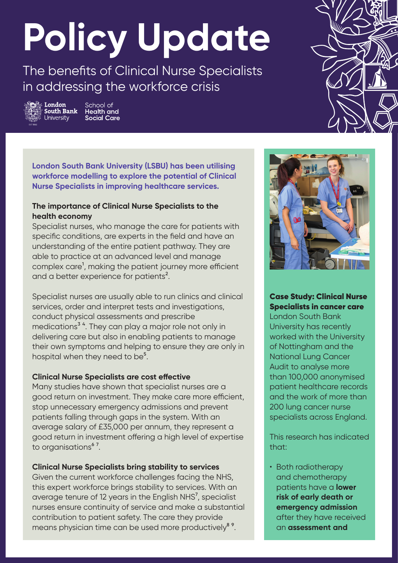# **Policy Update**

The benefits of Clinical Nurse Specialists in addressing the workforce crisis



School of Health and **Social Care** 



**London South Bank University (LSBU) has been utilising workforce modelling to explore the potential of Clinical Nurse Specialists in improving healthcare services.**

# **The importance of Clinical Nurse Specialists to the health economy**

Specialist nurses, who manage the care for patients with specific conditions, are experts in the field and have an understanding of the entire patient pathway. They are able to practice at an advanced level and manage complex care<sup>1</sup>, making the patient journey more efficient and a better experience for patients<sup>2</sup>.

Specialist nurses are usually able to run clinics and clinical services, order and interpret tests and investigations, conduct physical assessments and prescribe medications<sup>3</sup><sup>4</sup>. They can play a major role not only in delivering care but also in enabling patients to manage their own symptoms and helping to ensure they are only in hospital when they need to be<sup>5</sup>.

## **Clinical Nurse Specialists are cost effective**

Many studies have shown that specialist nurses are a good return on investment. They make care more efficient, stop unnecessary emergency admissions and prevent patients falling through gaps in the system. With an average salary of £35,000 per annum, they represent a good return in investment offering a high level of expertise to organisations<sup>67</sup>.

## **Clinical Nurse Specialists bring stability to services**

Given the current workforce challenges facing the NHS, this expert workforce brings stability to services. With an average tenure of 12 years in the English NHS<sup>7</sup>, specialist nurses ensure continuity of service and make a substantial contribution to patient safety. The care they provide means physician time can be used more productively<sup>8</sup><sup>9</sup>.



Case Study: Clinical Nurse Specialists in cancer care

London South Bank University has recently worked with the University of Nottingham and the National Lung Cancer Audit to analyse more than 100,000 anonymised patient healthcare records and the work of more than 200 lung cancer nurse specialists across England.

This research has indicated that:

• Both radiotherapy and chemotherapy patients have a **lower risk of early death or emergency admission**  after they have received an **assessment and**